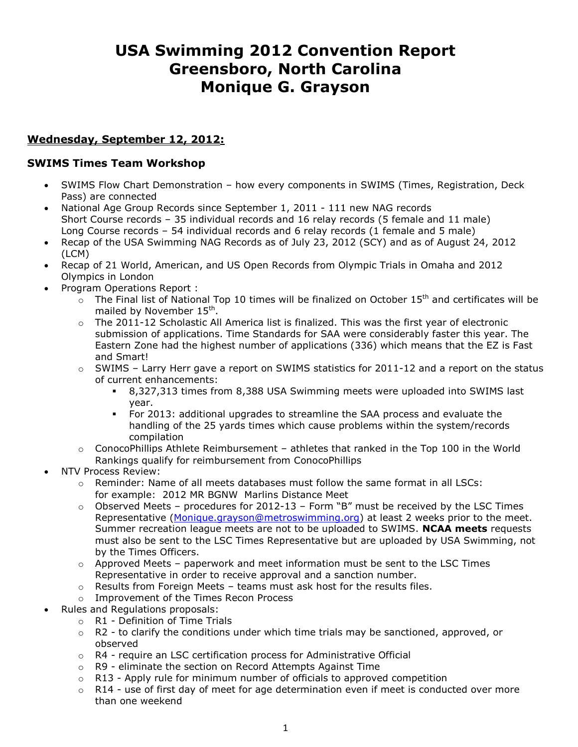# **USA Swimming 2012 Convention Report Greensboro, North Carolina Monique G. Grayson**

## **Wednesday, September 12, 2012:**

#### **SWIMS Times Team Workshop**

- SWIMS Flow Chart Demonstration how every components in SWIMS (Times, Registration, Deck Pass) are connected
- National Age Group Records since September 1, 2011 111 new NAG records Short Course records – 35 individual records and 16 relay records (5 female and 11 male) Long Course records – 54 individual records and 6 relay records (1 female and 5 male)
- Recap of the USA Swimming NAG Records as of July 23, 2012 (SCY) and as of August 24, 2012 (LCM)
- Recap of 21 World, American, and US Open Records from Olympic Trials in Omaha and 2012 Olympics in London
- Program Operations Report :
	- $\sim$  The Final list of National Top 10 times will be finalized on October 15<sup>th</sup> and certificates will be mailed by November 15<sup>th</sup>.
	- $\circ$  The 2011-12 Scholastic All America list is finalized. This was the first year of electronic submission of applications. Time Standards for SAA were considerably faster this year. The Eastern Zone had the highest number of applications (336) which means that the EZ is Fast and Smart!
	- $\circ$  SWIMS Larry Herr gave a report on SWIMS statistics for 2011-12 and a report on the status of current enhancements:
		- 8,327,313 times from 8,388 USA Swimming meets were uploaded into SWIMS last year.
		- For 2013: additional upgrades to streamline the SAA process and evaluate the handling of the 25 yards times which cause problems within the system/records compilation
	- $\circ$  ConocoPhillips Athlete Reimbursement athletes that ranked in the Top 100 in the World Rankings qualify for reimbursement from ConocoPhillips
- NTV Process Review:
	- $\circ$  Reminder: Name of all meets databases must follow the same format in all LSCs: for example: 2012 MR BGNW Marlins Distance Meet
	- $\circ$  Observed Meets procedures for 2012-13 Form "B" must be received by the LSC Times Representative [\(Monique.grayson@metroswimming.org\)](mailto:Monique.grayson@metroswimming.org) at least 2 weeks prior to the meet. Summer recreation league meets are not to be uploaded to SWIMS. **NCAA meets** requests must also be sent to the LSC Times Representative but are uploaded by USA Swimming, not by the Times Officers.
	- $\circ$  Approved Meets paperwork and meet information must be sent to the LSC Times Representative in order to receive approval and a sanction number.
	- $\circ$  Results from Foreign Meets teams must ask host for the results files.
	- o Improvement of the Times Recon Process
- Rules and Regulations proposals:
	- $\circ$  R1 Definition of Time Trials
	- o R2 to clarify the conditions under which time trials may be sanctioned, approved, or observed
	- $\circ$  R4 require an LSC certification process for Administrative Official
	- o R9 eliminate the section on Record Attempts Against Time
	- $\circ$  R13 Apply rule for minimum number of officials to approved competition
	- $\circ$  R14 use of first day of meet for age determination even if meet is conducted over more than one weekend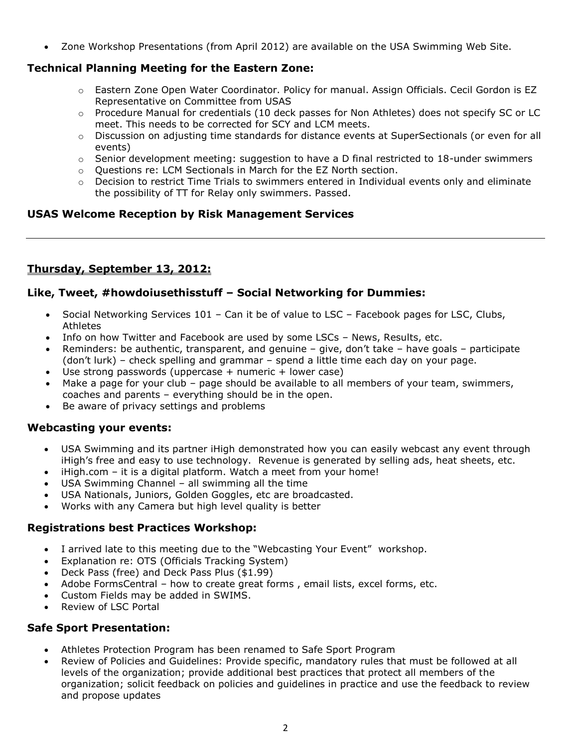Zone Workshop Presentations (from April 2012) are available on the USA Swimming Web Site.

# **Technical Planning Meeting for the Eastern Zone:**

- o Eastern Zone Open Water Coordinator. Policy for manual. Assign Officials. Cecil Gordon is EZ Representative on Committee from USAS
- $\circ$  Procedure Manual for credentials (10 deck passes for Non Athletes) does not specify SC or LC meet. This needs to be corrected for SCY and LCM meets.
- o Discussion on adjusting time standards for distance events at SuperSectionals (or even for all events)
- $\circ$  Senior development meeting: suggestion to have a D final restricted to 18-under swimmers
- o Questions re: LCM Sectionals in March for the EZ North section.
- $\circ$  Decision to restrict Time Trials to swimmers entered in Individual events only and eliminate the possibility of TT for Relay only swimmers. Passed.

## **USAS Welcome Reception by Risk Management Services**

# **Thursday, September 13, 2012:**

## **Like, Tweet, #howdoiusethisstuff – Social Networking for Dummies:**

- Social Networking Services 101 Can it be of value to LSC Facebook pages for LSC, Clubs, Athletes
- Info on how Twitter and Facebook are used by some LSCs News, Results, etc.
- **•** Reminders: be authentic, transparent, and genuine  $-$  give, don't take  $-$  have goals  $-$  participate (don't lurk) – check spelling and grammar – spend a little time each day on your page.
- $\bullet$  Use strong passwords (uppercase + numeric + lower case)
- Make a page for your club page should be available to all members of your team, swimmers, coaches and parents – everything should be in the open.
- Be aware of privacy settings and problems

## **Webcasting your events:**

- USA Swimming and its partner iHigh demonstrated how you can easily webcast any event through iHigh's free and easy to use technology. Revenue is generated by selling ads, heat sheets, etc.
- iHigh.com it is a digital platform. Watch a meet from your home!
- USA Swimming Channel all swimming all the time
- USA Nationals, Juniors, Golden Goggles, etc are broadcasted.
- Works with any Camera but high level quality is better

### **Registrations best Practices Workshop:**

- I arrived late to this meeting due to the "Webcasting Your Event" workshop.
- Explanation re: OTS (Officials Tracking System)
- Deck Pass (free) and Deck Pass Plus (\$1.99)
- Adobe FormsCentral how to create great forms , email lists, excel forms, etc.
- Custom Fields may be added in SWIMS.
- Review of LSC Portal

### **Safe Sport Presentation:**

- Athletes Protection Program has been renamed to Safe Sport Program
- Review of Policies and Guidelines: Provide specific, mandatory rules that must be followed at all levels of the organization; provide additional best practices that protect all members of the organization; solicit feedback on policies and guidelines in practice and use the feedback to review and propose updates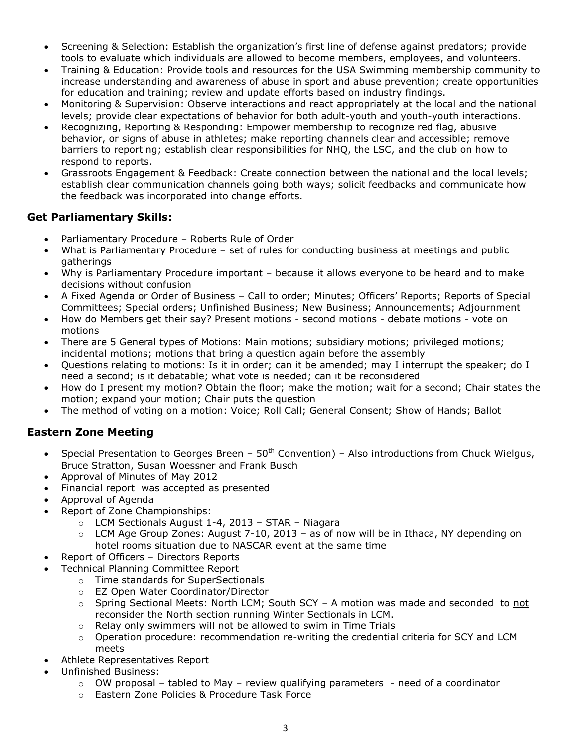- Screening & Selection: Establish the organization's first line of defense against predators; provide tools to evaluate which individuals are allowed to become members, employees, and volunteers.
- Training & Education: Provide tools and resources for the USA Swimming membership community to increase understanding and awareness of abuse in sport and abuse prevention; create opportunities for education and training; review and update efforts based on industry findings.
- Monitoring & Supervision: Observe interactions and react appropriately at the local and the national levels; provide clear expectations of behavior for both adult-youth and youth-youth interactions.
- Recognizing, Reporting & Responding: Empower membership to recognize red flag, abusive behavior, or signs of abuse in athletes; make reporting channels clear and accessible; remove barriers to reporting; establish clear responsibilities for NHQ, the LSC, and the club on how to respond to reports.
- Grassroots Engagement & Feedback: Create connection between the national and the local levels; establish clear communication channels going both ways; solicit feedbacks and communicate how the feedback was incorporated into change efforts.

### **Get Parliamentary Skills:**

- Parliamentary Procedure Roberts Rule of Order
- What is Parliamentary Procedure set of rules for conducting business at meetings and public gatherings
- Why is Parliamentary Procedure important because it allows everyone to be heard and to make decisions without confusion
- A Fixed Agenda or Order of Business Call to order; Minutes; Officers' Reports; Reports of Special Committees; Special orders; Unfinished Business; New Business; Announcements; Adjournment
- How do Members get their say? Present motions second motions debate motions vote on motions
- There are 5 General types of Motions: Main motions; subsidiary motions; privileged motions; incidental motions; motions that bring a question again before the assembly
- Questions relating to motions: Is it in order; can it be amended; may I interrupt the speaker; do I need a second; is it debatable; what vote is needed; can it be reconsidered
- How do I present my motion? Obtain the floor; make the motion; wait for a second; Chair states the motion; expand your motion; Chair puts the question
- The method of voting on a motion: Voice; Roll Call; General Consent; Show of Hands; Ballot

## **Eastern Zone Meeting**

- Special Presentation to Georges Breen  $50<sup>th</sup>$  Convention) Also introductions from Chuck Wielgus, Bruce Stratton, Susan Woessner and Frank Busch
- Approval of Minutes of May 2012
- Financial report was accepted as presented
- Approval of Agenda
- Report of Zone Championships:
	- o LCM Sectionals August 1-4, 2013 STAR Niagara
	- $\circ$  LCM Age Group Zones: August 7-10, 2013 as of now will be in Ithaca, NY depending on hotel rooms situation due to NASCAR event at the same time
- Report of Officers Directors Reports
- Technical Planning Committee Report
	- o Time standards for SuperSectionals
	- o EZ Open Water Coordinator/Director
	- $\circ$  Spring Sectional Meets: North LCM; South SCY A motion was made and seconded to not reconsider the North section running Winter Sectionals in LCM.
	- o Relay only swimmers will not be allowed to swim in Time Trials
	- $\circ$  Operation procedure: recommendation re-writing the credential criteria for SCY and LCM meets
- Athlete Representatives Report
- Unfinished Business:
	- $\circ$  OW proposal tabled to May review qualifying parameters need of a coordinator
	- o Eastern Zone Policies & Procedure Task Force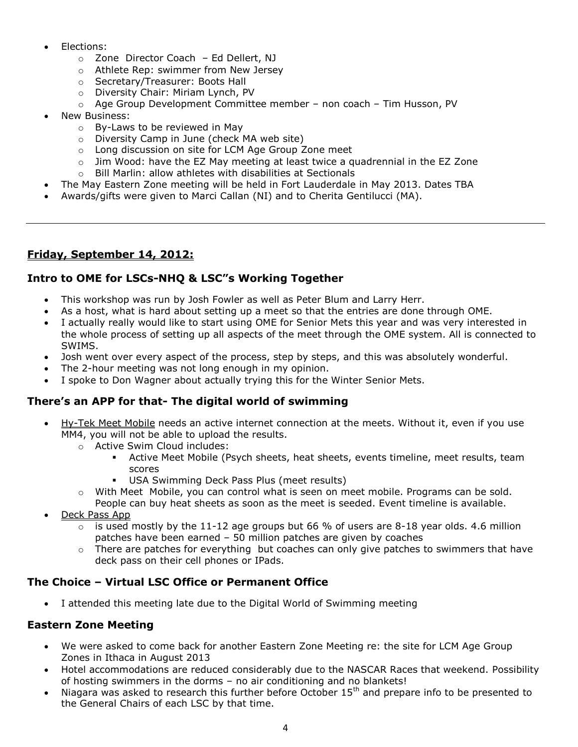- Elections:
	- o Zone Director Coach Ed Dellert, NJ
	- o Athlete Rep: swimmer from New Jersey
	- o Secretary/Treasurer: Boots Hall
	- o Diversity Chair: Miriam Lynch, PV
	- o Age Group Development Committee member non coach Tim Husson, PV
- New Business:
	- o By-Laws to be reviewed in May
	- o Diversity Camp in June (check MA web site)
	- o Long discussion on site for LCM Age Group Zone meet
	- $\circ$  Jim Wood: have the EZ May meeting at least twice a quadrennial in the EZ Zone
- o Bill Marlin: allow athletes with disabilities at Sectionals The May Eastern Zone meeting will be held in Fort Lauderdale in May 2013. Dates TBA
- Awards/gifts were given to Marci Callan (NI) and to Cherita Gentilucci (MA).

## **Friday, September 14, 2012:**

#### **Intro to OME for LSCs-NHQ & LSC"s Working Together**

- This workshop was run by Josh Fowler as well as Peter Blum and Larry Herr.
- As a host, what is hard about setting up a meet so that the entries are done through OME.
- I actually really would like to start using OME for Senior Mets this year and was very interested in the whole process of setting up all aspects of the meet through the OME system. All is connected to SWIMS.
- Josh went over every aspect of the process, step by steps, and this was absolutely wonderful.
- The 2-hour meeting was not long enough in my opinion.
- I spoke to Don Wagner about actually trying this for the Winter Senior Mets.

#### **There's an APP for that- The digital world of swimming**

- Hy-Tek Meet Mobile needs an active internet connection at the meets. Without it, even if you use MM4, you will not be able to upload the results.
	- o Active Swim Cloud includes:
		- Active Meet Mobile (Psych sheets, heat sheets, events timeline, meet results, team scores
		- USA Swimming Deck Pass Plus (meet results)
	- $\circ$  With Meet Mobile, you can control what is seen on meet mobile. Programs can be sold.
		- People can buy heat sheets as soon as the meet is seeded. Event timeline is available.
- Deck Pass App
	- $\circ$  is used mostly by the 11-12 age groups but 66 % of users are 8-18 year olds. 4.6 million patches have been earned – 50 million patches are given by coaches
	- $\circ$  There are patches for everything but coaches can only give patches to swimmers that have deck pass on their cell phones or IPads.

### **The Choice – Virtual LSC Office or Permanent Office**

I attended this meeting late due to the Digital World of Swimming meeting

#### **Eastern Zone Meeting**

- We were asked to come back for another Eastern Zone Meeting re: the site for LCM Age Group Zones in Ithaca in August 2013
- Hotel accommodations are reduced considerably due to the NASCAR Races that weekend. Possibility of hosting swimmers in the dorms – no air conditioning and no blankets!
- Niagara was asked to research this further before October 15<sup>th</sup> and prepare info to be presented to the General Chairs of each LSC by that time.